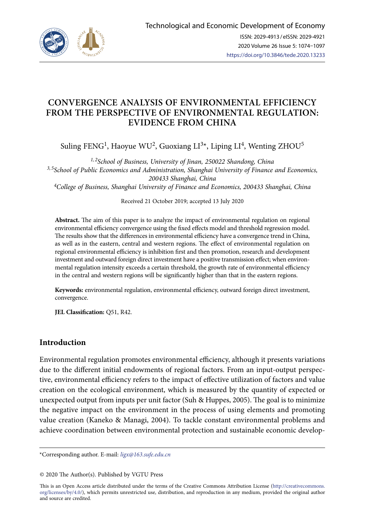

# **CONVERGENCE ANALYSIS OF ENVIRONMENTAL EFFICIENCY FROM THE PERSPECTIVE OF ENVIRONMENTAL REGULATION: EVIDENCE FROM CHINA**

Suling FENG<sup>1</sup>, Haoyue WU<sup>2</sup>, Guoxiang LI<sup>3\*</sup>, Liping LI<sup>4</sup>, Wenting ZHOU<sup>5</sup>

*1, 2School of Business, University of Jinan, 250022 Shandong, China 3, 5School of Public Economics and Administration, Shanghai University of Finance and Economics, 200433 Shanghai, China 4College of Business, Shanghai University of Finance and Economics, 200433 Shanghai, China*

Received 21 October 2019; accepted 13 July 2020

**Abstract.** The aim of this paper is to analyze the impact of environmental regulation on regional environmental efficiency convergence using the fixed effects model and threshold regression model. The results show that the differences in environmental efficiency have a convergence trend in China, as well as in the eastern, central and western regions. The effect of environmental regulation on regional environmental efficiency is inhibition first and then promotion, research and development investment and outward foreign direct investment have a positive transmission effect; when environmental regulation intensity exceeds a certain threshold, the growth rate of environmental efficiency in the central and western regions will be significantly higher than that in the eastern regions.

**Keywords:** environmental regulation, environmental efficiency, outward foreign direct investment, convergence.

**JEL Classification:** Q51, R42.

# **Introduction**

Environmental regulation promotes environmental efficiency, although it presents variations due to the different initial endowments of regional factors. From an input-output perspective, environmental efficiency refers to the impact of effective utilization of factors and value creation on the ecological environment, which is measured by the quantity of expected or unexpected output from inputs per unit factor (Suh & Huppes, 2005). The goal is to minimize the negative impact on the environment in the process of using elements and promoting value creation (Kaneko & Managi, 2004). To tackle constant environmental problems and achieve coordination between environmental protection and sustainable economic develop-

\*Corresponding author. E-mail: *ligx@163.sufe.edu.cn*

© 2020 The Author(s). Published by VGTU Press

This is an Open Access article distributed under the terms of the Creative Commons Attribution License ([http://creativecommons.](http://dx.doi.org/10.1016/S0377-2217(03)00091-2) [org/licenses/by/4.0/\)](http://dx.doi.org/10.1016/S0377-2217(03)00091-2), which permits unrestricted use, distribution, and reproduction in any medium, provided the original author and source are credited.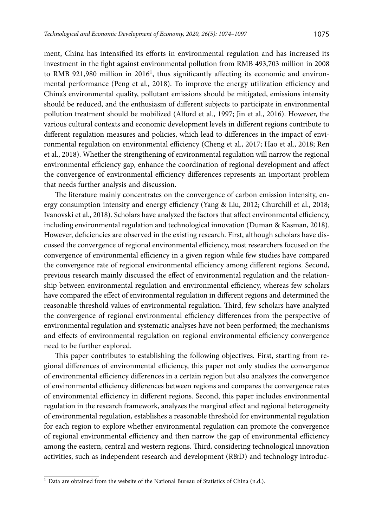ment, China has intensified its efforts in environmental regulation and has increased its investment in the fight against environmental pollution from RMB 493,703 million in 2008 to RMB 921,980 million in  $2016<sup>1</sup>$ , thus significantly affecting its economic and environmental performance (Peng et al., 2018). To improve the energy utilization efficiency and China's environmental quality, pollutant emissions should be mitigated, emissions intensity should be reduced, and the enthusiasm of different subjects to participate in environmental pollution treatment should be mobilized (Alford et al., 1997; Jin et al., 2016). However, the various cultural contexts and economic development levels in different regions contribute to different regulation measures and policies, which lead to differences in the impact of environmental regulation on environmental efficiency (Cheng et al., 2017; Hao et al., 2018; Ren et al., 2018). Whether the strengthening of environmental regulation will narrow the regional environmental efficiency gap, enhance the coordination of regional development and affect the convergence of environmental efficiency differences represents an important problem that needs further analysis and discussion.

The literature mainly concentrates on the convergence of carbon emission intensity, energy consumption intensity and energy efficiency (Yang & Liu, 2012; Churchill et al., 2018; Ivanovski et al., 2018). Scholars have analyzed the factors that affect environmental efficiency, including environmental regulation and technological innovation (Duman & Kasman, 2018). However, deficiencies are observed in the existing research. First, although scholars have discussed the convergence of regional environmental efficiency, most researchers focused on the convergence of environmental efficiency in a given region while few studies have compared the convergence rate of regional environmental efficiency among different regions. Second, previous research mainly discussed the effect of environmental regulation and the relationship between environmental regulation and environmental efficiency, whereas few scholars have compared the effect of environmental regulation in different regions and determined the reasonable threshold values of environmental regulation. Third, few scholars have analyzed the convergence of regional environmental efficiency differences from the perspective of environmental regulation and systematic analyses have not been performed; the mechanisms and effects of environmental regulation on regional environmental efficiency convergence need to be further explored.

This paper contributes to establishing the following objectives. First, starting from regional differences of environmental efficiency, this paper not only studies the convergence of environmental efficiency differences in a certain region but also analyzes the convergence of environmental efficiency differences between regions and compares the convergence rates of environmental efficiency in different regions. Second, this paper includes environmental regulation in the research framework, analyzes the marginal effect and regional heterogeneity of environmental regulation, establishes a reasonable threshold for environmental regulation for each region to explore whether environmental regulation can promote the convergence of regional environmental efficiency and then narrow the gap of environmental efficiency among the eastern, central and western regions. Third, considering technological innovation activities, such as independent research and development (R&D) and technology introduc-

<sup>&</sup>lt;sup>1</sup> Data are obtained from the website of the National Bureau of Statistics of China (n.d.).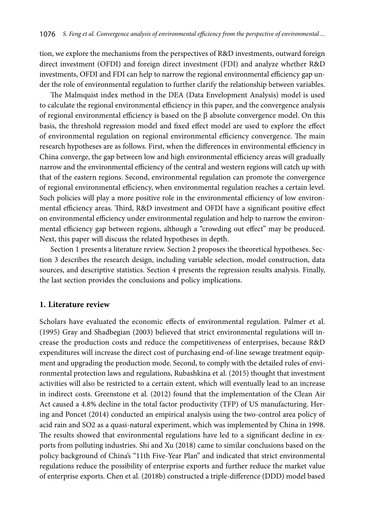tion, we explore the mechanisms from the perspectives of R&D investments, outward foreign direct investment (OFDI) and foreign direct investment (FDI) and analyze whether R&D investments, OFDI and FDI can help to narrow the regional environmental efficiency gap under the role of environmental regulation to further clarify the relationship between variables.

The Malmquist index method in the DEA (Data Envelopment Analysis) model is used to calculate the regional environmental efficiency in this paper, and the convergence analysis of regional environmental efficiency is based on the β absolute convergence model. On this basis, the threshold regression model and fixed effect model are used to explore the effect of environmental regulation on regional environmental efficiency convergence. The main research hypotheses are as follows. First, when the differences in environmental efficiency in China converge, the gap between low and high environmental efficiency areas will gradually narrow and the environmental efficiency of the central and western regions will catch up with that of the eastern regions. Second, environmental regulation can promote the convergence of regional environmental efficiency, when environmental regulation reaches a certain level. Such policies will play a more positive role in the environmental efficiency of low environmental efficiency areas. Third, R&D investment and OFDI have a significant positive effect on environmental efficiency under environmental regulation and help to narrow the environmental efficiency gap between regions, although a "crowding out effect" may be produced. Next, this paper will discuss the related hypotheses in depth.

Section 1 presents a literature review. Section 2 proposes the theoretical hypotheses. Section 3 describes the research design, including variable selection, model construction, data sources, and descriptive statistics. Section 4 presents the regression results analysis. Finally, the last section provides the conclusions and policy implications.

### **1. Literature review**

Scholars have evaluated the economic effects of environmental regulation. Palmer et al. (1995) Gray and Shadbegian (2003) believed that strict environmental regulations will increase the production costs and reduce the competitiveness of enterprises, because R&D expenditures will increase the direct cost of purchasing end-of-line sewage treatment equipment and upgrading the production mode. Second, to comply with the detailed rules of environmental protection laws and regulations, Rubashkina et al. (2015) thought that investment activities will also be restricted to a certain extent, which will eventually lead to an increase in indirect costs. Greenstone et al. (2012) found that the implementation of the Clean Air Act caused a 4.8% decline in the total factor productivity (TFP) of US manufacturing. Hering and Poncet (2014) conducted an empirical analysis using the two-control area policy of acid rain and SO2 as a quasi-natural experiment, which was implemented by China in 1998. The results showed that environmental regulations have led to a significant decline in exports from polluting industries. Shi and Xu (2018) came to similar conclusions based on the policy background of China's "11th Five-Year Plan" and indicated that strict environmental regulations reduce the possibility of enterprise exports and further reduce the market value of enterprise exports. Chen et al. (2018b) constructed a triple-difference (DDD) model based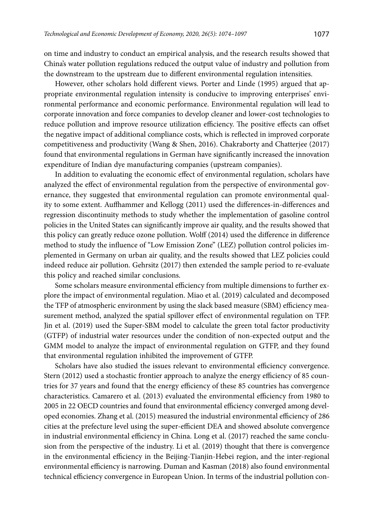on time and industry to conduct an empirical analysis, and the research results showed that China's water pollution regulations reduced the output value of industry and pollution from the downstream to the upstream due to different environmental regulation intensities.

However, other scholars hold different views. Porter and Linde (1995) argued that appropriate environmental regulation intensity is conducive to improving enterprises' environmental performance and economic performance. Environmental regulation will lead to corporate innovation and force companies to develop cleaner and lower-cost technologies to reduce pollution and improve resource utilization efficiency. The positive effects can offset the negative impact of additional compliance costs, which is reflected in improved corporate competitiveness and productivity (Wang & Shen, 2016). Chakraborty and Chatterjee (2017) found that environmental regulations in German have significantly increased the innovation expenditure of Indian dye manufacturing companies (upstream companies).

In addition to evaluating the economic effect of environmental regulation, scholars have analyzed the effect of environmental regulation from the perspective of environmental governance, they suggested that environmental regulation can promote environmental quality to some extent. Auffhammer and Kellogg (2011) used the differences-in-differences and regression discontinuity methods to study whether the implementation of gasoline control policies in the United States can significantly improve air quality, and the results showed that this policy can greatly reduce ozone pollution. Wolff (2014) used the difference in difference method to study the influence of "Low Emission Zone" (LEZ) pollution control policies implemented in Germany on urban air quality, and the results showed that LEZ policies could indeed reduce air pollution. Gehrsitz (2017) then extended the sample period to re-evaluate this policy and reached similar conclusions.

Some scholars measure environmental efficiency from multiple dimensions to further explore the impact of environmental regulation. Miao et al. (2019) calculated and decomposed the TFP of atmospheric environment by using the slack based measure (SBM) efficiency measurement method, analyzed the spatial spillover effect of environmental regulation on TFP. Jin et al. (2019) used the Super-SBM model to calculate the green total factor productivity (GTFP) of industrial water resources under the condition of non-expected output and the GMM model to analyze the impact of environmental regulation on GTFP, and they found that environmental regulation inhibited the improvement of GTFP.

Scholars have also studied the issues relevant to environmental efficiency convergence. Stern (2012) used a stochastic frontier approach to analyze the energy efficiency of 85 countries for 37 years and found that the energy efficiency of these 85 countries has convergence characteristics. Camarero et al. (2013) evaluated the environmental efficiency from 1980 to 2005 in 22 OECD countries and found that environmental efficiency converged among developed economies. Zhang et al. (2015) measured the industrial environmental efficiency of 286 cities at the prefecture level using the super-efficient DEA and showed absolute convergence in industrial environmental efficiency in China. Long et al. (2017) reached the same conclusion from the perspective of the industry. Li et al. (2019) thought that there is convergence in the environmental efficiency in the Beijing-Tianjin-Hebei region, and the inter-regional environmental efficiency is narrowing. Duman and Kasman (2018) also found environmental technical efficiency convergence in European Union. In terms of the industrial pollution con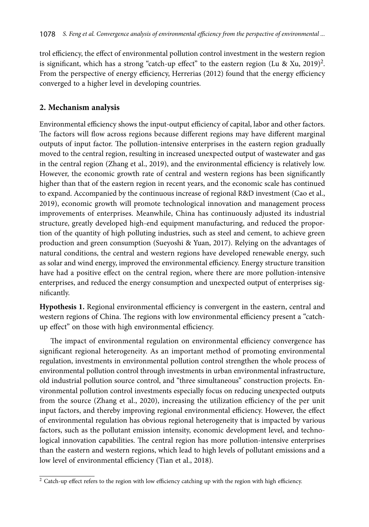trol efficiency, the effect of environmental pollution control investment in the western region is significant, which has a strong "catch-up effect" to the eastern region (Lu & Xu, 2019)<sup>2</sup>. From the perspective of energy efficiency, Herrerias (2012) found that the energy efficiency converged to a higher level in developing countries.

# **2. Mechanism analysis**

Environmental efficiency shows the input-output efficiency of capital, labor and other factors. The factors will flow across regions because different regions may have different marginal outputs of input factor. The pollution-intensive enterprises in the eastern region gradually moved to the central region, resulting in increased unexpected output of wastewater and gas in the central region (Zhang et al., 2019), and the environmental efficiency is relatively low. However, the economic growth rate of central and western regions has been significantly higher than that of the eastern region in recent years, and the economic scale has continued to expand. Accompanied by the continuous increase of regional R&D investment (Cao et al., 2019), economic growth will promote technological innovation and management process improvements of enterprises. Meanwhile, China has continuously adjusted its industrial structure, greatly developed high-end equipment manufacturing, and reduced the proportion of the quantity of high polluting industries, such as steel and cement, to achieve green production and green consumption (Sueyoshi & Yuan, 2017). Relying on the advantages of natural conditions, the central and western regions have developed renewable energy, such as solar and wind energy, improved the environmental efficiency. Energy structure transition have had a positive effect on the central region, where there are more pollution-intensive enterprises, and reduced the energy consumption and unexpected output of enterprises significantly.

**Hypothesis 1.** Regional environmental efficiency is convergent in the eastern, central and western regions of China. The regions with low environmental efficiency present a "catchup effect" on those with high environmental efficiency.

The impact of environmental regulation on environmental efficiency convergence has significant regional heterogeneity. As an important method of promoting environmental regulation, investments in environmental pollution control strengthen the whole process of environmental pollution control through investments in urban environmental infrastructure, old industrial pollution source control, and "three simultaneous" construction projects. Environmental pollution control investments especially focus on reducing unexpected outputs from the source (Zhang et al., 2020), increasing the utilization efficiency of the per unit input factors, and thereby improving regional environmental efficiency. However, the effect of environmental regulation has obvious regional heterogeneity that is impacted by various factors, such as the pollutant emission intensity, economic development level, and technological innovation capabilities. The central region has more pollution-intensive enterprises than the eastern and western regions, which lead to high levels of pollutant emissions and a low level of environmental efficiency (Tian et al., 2018).

 $\frac{1}{2}$  Catch-up effect refers to the region with low efficiency catching up with the region with high efficiency.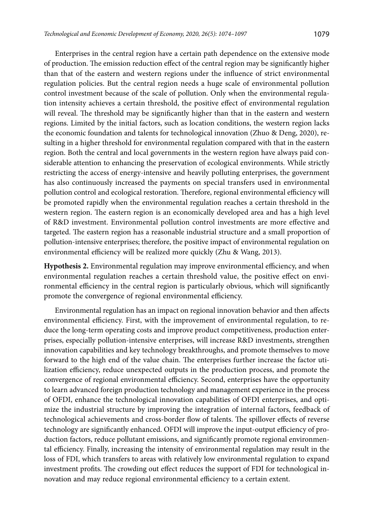Enterprises in the central region have a certain path dependence on the extensive mode of production. The emission reduction effect of the central region may be significantly higher than that of the eastern and western regions under the influence of strict environmental regulation policies. But the central region needs a huge scale of environmental pollution control investment because of the scale of pollution. Only when the environmental regulation intensity achieves a certain threshold, the positive effect of environmental regulation will reveal. The threshold may be significantly higher than that in the eastern and western regions. Limited by the initial factors, such as location conditions, the western region lacks the economic foundation and talents for technological innovation (Zhuo & Deng, 2020), resulting in a higher threshold for environmental regulation compared with that in the eastern region. Both the central and local governments in the western region have always paid considerable attention to enhancing the preservation of ecological environments. While strictly restricting the access of energy-intensive and heavily polluting enterprises, the government has also continuously increased the payments on special transfers used in environmental pollution control and ecological restoration. Therefore, regional environmental efficiency will be promoted rapidly when the environmental regulation reaches a certain threshold in the western region. The eastern region is an economically developed area and has a high level of R&D investment. Environmental pollution control investments are more effective and targeted. The eastern region has a reasonable industrial structure and a small proportion of pollution-intensive enterprises; therefore, the positive impact of environmental regulation on

**Hypothesis 2.** Environmental regulation may improve environmental efficiency, and when environmental regulation reaches a certain threshold value, the positive effect on environmental efficiency in the central region is particularly obvious, which will significantly promote the convergence of regional environmental efficiency.

environmental efficiency will be realized more quickly (Zhu & Wang, 2013).

Environmental regulation has an impact on regional innovation behavior and then affects environmental efficiency. First, with the improvement of environmental regulation, to reduce the long-term operating costs and improve product competitiveness, production enterprises, especially pollution-intensive enterprises, will increase R&D investments, strengthen innovation capabilities and key technology breakthroughs, and promote themselves to move forward to the high end of the value chain. The enterprises further increase the factor utilization efficiency, reduce unexpected outputs in the production process, and promote the convergence of regional environmental efficiency. Second, enterprises have the opportunity to learn advanced foreign production technology and management experience in the process of OFDI, enhance the technological innovation capabilities of OFDI enterprises, and optimize the industrial structure by improving the integration of internal factors, feedback of technological achievements and cross-border flow of talents. The spillover effects of reverse technology are significantly enhanced. OFDI will improve the input-output efficiency of production factors, reduce pollutant emissions, and significantly promote regional environmental efficiency. Finally, increasing the intensity of environmental regulation may result in the loss of FDI, which transfers to areas with relatively low environmental regulation to expand investment profits. The crowding out effect reduces the support of FDI for technological innovation and may reduce regional environmental efficiency to a certain extent.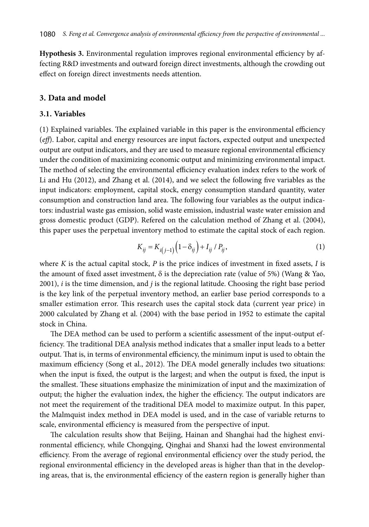**Hypothesis 3.** Environmental regulation improves regional environmental efficiency by affecting R&D investments and outward foreign direct investments, although the crowding out effect on foreign direct investments needs attention.

#### **3. Data and model**

#### **3.1. Variables**

(1) Explained variables. The explained variable in this paper is the environmental efficiency (*eff*). Labor, capital and energy resources are input factors, expected output and unexpected output are output indicators, and they are used to measure regional environmental efficiency under the condition of maximizing economic output and minimizing environmental impact. The method of selecting the environmental efficiency evaluation index refers to the work of Li and Hu (2012), and Zhang et al. (2014), and we select the following five variables as the input indicators: employment, capital stock, energy consumption standard quantity, water consumption and construction land area. The following four variables as the output indicators: industrial waste gas emission, solid waste emission, industrial waste water emission and gross domestic product (GDP). Refered on the calculation method of Zhang et al. (2004), this paper uses the perpetual inventory method to estimate the capital stock of each region.

$$
K_{ij} = K_{i(j-1)}(1 - \delta_{ij}) + I_{ij} / P_{ij},
$$
\n(1)

where *K* is the actual capital stock, *P* is the price indices of investment in fixed assets, *I* is the amount of fixed asset investment,  $\delta$  is the depreciation rate (value of 5%) (Wang & Yao, 2001), *i* is the time dimension, and *j* is the regional latitude. Choosing the right base period is the key link of the perpetual inventory method, an earlier base period corresponds to a smaller estimation error. This research uses the capital stock data (current year price) in 2000 calculated by Zhang et al. (2004) with the base period in 1952 to estimate the capital stock in China.

The DEA method can be used to perform a scientific assessment of the input-output efficiency. The traditional DEA analysis method indicates that a smaller input leads to a better output. That is, in terms of environmental efficiency, the minimum input is used to obtain the maximum efficiency (Song et al., 2012). The DEA model generally includes two situations: when the input is fixed, the output is the largest; and when the output is fixed, the input is the smallest. These situations emphasize the minimization of input and the maximization of output; the higher the evaluation index, the higher the efficiency. The output indicators are not meet the requirement of the traditional DEA model to maximize output. In this paper, the Malmquist index method in DEA model is used, and in the case of variable returns to scale, environmental efficiency is measured from the perspective of input.

The calculation results show that Beijing, Hainan and Shanghai had the highest environmental efficiency, while Chongqing, Qinghai and Shanxi had the lowest environmental efficiency. From the average of regional environmental efficiency over the study period, the regional environmental efficiency in the developed areas is higher than that in the developing areas, that is, the environmental efficiency of the eastern region is generally higher than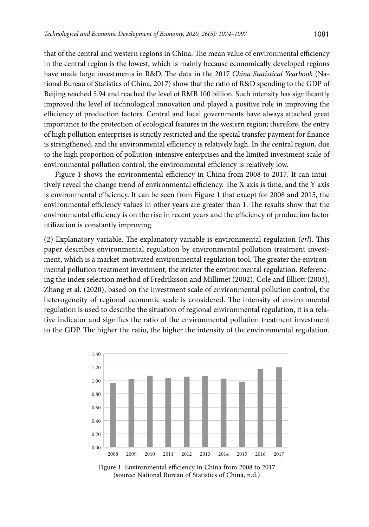that of the central and western regions in China. The mean value of environmental efficiency in the central region is the lowest, which is mainly because economically developed regions have made large investments in R&D. The data in the 2017 *China Statistical Yearbook* (National Bureau of Statistics of China, 2017) show that the ratio of R&D spending to the GDP of Beijing reached 5.94 and reached the level of RMB 100 billion. Such intensity has significantly improved the level of technological innovation and played a positive role in improving the efficiency of production factors. Central and local governments have always attached great importance to the protection of ecological features in the western region; therefore, the entry of high pollution enterprises is strictly restricted and the special transfer payment for finance is strengthened, and the environmental efficiency is relatively high. In the central region, due to the high proportion of pollution-intensive enterprises and the limited investment scale of environmental pollution control, the environmental efficiency is relatively low.

Figure 1 shows the environmental efficiency in China from 2008 to 2017. It can intuitively reveal the change trend of environmental efficiency. The X axis is time, and the Y axis is environmental efficiency. It can be seen from Figure 1 that except for 2008 and 2015, the environmental efficiency values in other years are greater than 1. The results show that the environmental efficiency is on the rise in recent years and the efficiency of production factor utilization is constantly improving.

(2) Explanatory variable. The explanatory variable is environmental regulation (*erl*). This paper describes environmental regulation by environmental pollution treatment investment, which is a market-motivated environmental regulation tool. The greater the environmental pollution treatment investment, the stricter the environmental regulation. Referencing the index selection method of Fredriksson and Millimet (2002), Cole and Elliott (2003), Zhang et al. (2020), based on the investment scale of environmental pollution control, the heterogeneity of regional economic scale is considered. The intensity of environmental regulation is used to describe the situation of regional environmental regulation, it is a relative indicator and signifies the ratio of the environmental pollution treatment investment to the GDP. The higher the ratio, the higher the intensity of the environmental regulation.



Figure 1. Environmental efficiency in China from 2008 to 2017 (source: National Bureau of Statistics of China, n.d.)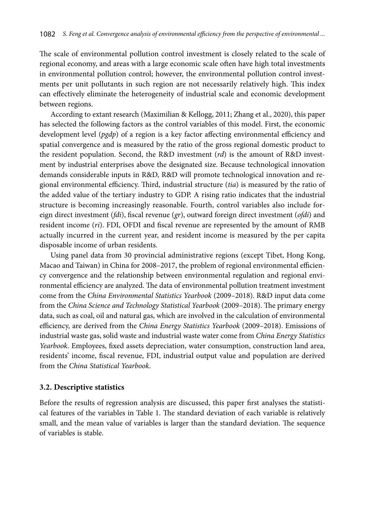The scale of environmental pollution control investment is closely related to the scale of regional economy, and areas with a large economic scale often have high total investments in environmental pollution control; however, the environmental pollution control investments per unit pollutants in such region are not necessarily relatively high. This index can effectively eliminate the heterogeneity of industrial scale and economic development between regions.

According to extant research (Maximilian & Kellogg, 2011; Zhang et al., 2020), this paper has selected the following factors as the control variables of this model. First, the economic development level (*pgdp*) of a region is a key factor affecting environmental efficiency and spatial convergence and is measured by the ratio of the gross regional domestic product to the resident population. Second, the R&D investment (*rd*) is the amount of R&D investment by industrial enterprises above the designated size. Because technological innovation demands considerable inputs in R&D, R&D will promote technological innovation and regional environmental efficiency. Third, industrial structure (*tia*) is measured by the ratio of the added value of the tertiary industry to GDP. A rising ratio indicates that the industrial structure is becoming increasingly reasonable. Fourth, control variables also include foreign direct investment (*fdi*), fiscal revenue (*gr*), outward foreign direct investment (*ofdi*) and resident income (*ri*). FDI, OFDI and fiscal revenue are represented by the amount of RMB actually incurred in the current year, and resident income is measured by the per capita disposable income of urban residents.

Using panel data from 30 provincial administrative regions (except Tibet, Hong Kong, Macao and Taiwan) in China for 2008–2017, the problem of regional environmental efficiency convergence and the relationship between environmental regulation and regional environmental efficiency are analyzed. The data of environmental pollution treatment investment come from the *China Environmental Statistics Yearbook* (2009–2018). R&D input data come from the *China Science and Technology Statistical Yearbook* (2009–2018). The primary energy data, such as coal, oil and natural gas, which are involved in the calculation of environmental efficiency, are derived from the *China Energy Statistics Yearbook* (2009–2018). Emissions of industrial waste gas, solid waste and industrial waste water come from *China Energy Statistics Yearbook*. Employees, fixed assets depreciation, water consumption, construction land area, residents' income, fiscal revenue, FDI, industrial output value and population are derived from the *China Statistical Yearbook*.

#### **3.2. Descriptive statistics**

Before the results of regression analysis are discussed, this paper first analyses the statistical features of the variables in Table 1. The standard deviation of each variable is relatively small, and the mean value of variables is larger than the standard deviation. The sequence of variables is stable.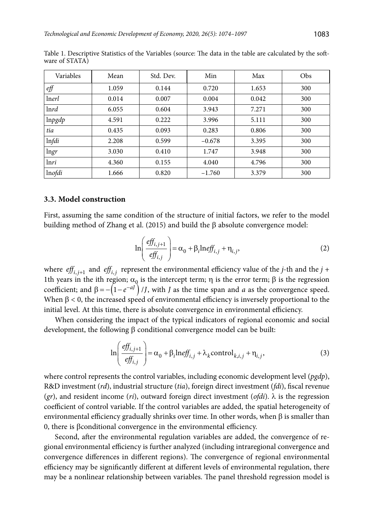| Variables    | Mean  | Std. Dev. | Min      | Max   | Obs |
|--------------|-------|-----------|----------|-------|-----|
| $\ell f$     | 1.059 | 0.144     | 0.720    | 1.653 | 300 |
| lnerl        | 0.014 | 0.007     | 0.004    | 0.042 | 300 |
| <i>lnrd</i>  | 6.055 | 0.604     | 3.943    | 7.271 | 300 |
| lnpgdp       | 4.591 | 0.222     | 3.996    | 5.111 | 300 |
| tia          | 0.435 | 0.093     | 0.283    | 0.806 | 300 |
| <i>Infdi</i> | 2.208 | 0.599     | $-0.678$ | 3.395 | 300 |
| lngr         | 3.030 | 0.410     | 1.747    | 3.948 | 300 |
| lnri         | 4.360 | 0.155     | 4.040    | 4.796 | 300 |
| lnofdi       | 1.666 | 0.820     | $-1.760$ | 3.379 | 300 |

Table 1. Descriptive Statistics of the Variables (source: The data in the table are calculated by the software of STATA)

#### **3.3. Model construction**

First, assuming the same condition of the structure of initial factors, we refer to the model building method of Zhang et al. (2015) and build the  $\beta$  absolute convergence model:

$$
\ln\left(\frac{eff_{i,j+1}}{eff_{i,j}}\right) = \alpha_0 + \beta_i \ln eff_{i,j} + \eta_{i,j},\tag{2}
$$

where  $\textit{eff}_{i, j+1}$  and  $\textit{eff}_{i, j}$  represent the environmental efficiency value of the *j*-th and the *j* + 1th years in the ith region;  $\alpha_0$  is the intercept term;  $\eta$  is the error term;  $\beta$  is the regression coefficient; and  $\beta = -\left(1 - e^{-aJ}\right) / J$ , with *J* as the time span and *a* as the convergence speed. When  $\beta$  < 0, the increased speed of environmental efficiency is inversely proportional to the initial level. At this time, there is absolute convergence in environmental efficiency.

When considering the impact of the typical indicators of regional economic and social development, the following  $\beta$  conditional convergence model can be built:

$$
\ln\left(\frac{eff_{i,j+1}}{eff_{i,j}}\right) = \alpha_0 + \beta_i \ln eff_{i,j} + \lambda_k \text{control}_{k,i,j} + \eta_{i,j},\tag{3}
$$

where control represents the control variables, including economic development level (*pgdp*), R&D investment (*rd*), industrial structure (*tia*), foreign direct investment (*fdi*), fiscal revenue  $(qr)$ , and resident income (*ri*), outward foreign direct investment (*ofdi*).  $\lambda$  is the regression coefficient of control variable. If the control variables are added, the spatial heterogeneity of environmental efficiency gradually shrinks over time. In other words, when  $\beta$  is smaller than 0, there is  $\beta$ conditional convergence in the environmental efficiency.

Second, after the environmental regulation variables are added, the convergence of regional environmental efficiency is further analyzed (including intraregional convergence and convergence differences in different regions). The convergence of regional environmental efficiency may be significantly different at different levels of environmental regulation, there may be a nonlinear relationship between variables. The panel threshold regression model is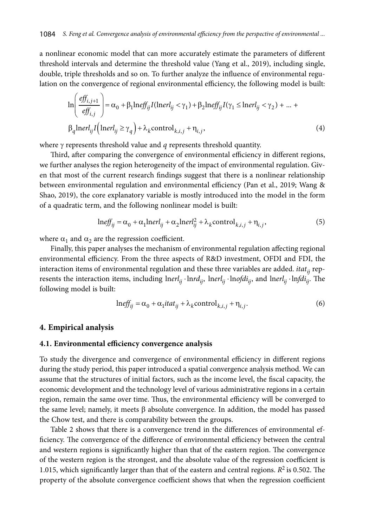a nonlinear economic model that can more accurately estimate the parameters of different threshold intervals and determine the threshold value (Yang et al., 2019), including single, double, triple thresholds and so on. To further analyze the influence of environmental regulation on the convergence of regional environmental efficiency, the following model is built:

$$
\ln\left(\frac{eff_{i,j+1}}{eff_{i,j}}\right) = \alpha_0 + \beta_1 \ln eff_{ij} I(\ln erl_{ij} < \gamma_1) + \beta_2 \ln eff_{ij} I(\gamma_1 \le \ln erl_{ij} < \gamma_2) + \dots + \beta_q \ln erl_{ij} I(\ln erl_{ij} \ge \gamma_q) + \lambda_k \text{control}_{k,i,j} + \eta_{i,j},
$$
\n(4)

where  $\gamma$  represents threshold value and  $q$  represents threshold quantity.

Third, after comparing the convergence of environmental efficiency in different regions, we further analyses the region heterogeneity of the impact of environmental regulation. Given that most of the current research findings suggest that there is a nonlinear relationship between environmental regulation and environmental efficiency (Pan et al., 2019; Wang & Shao, 2019), the core explanatory variable is mostly introduced into the model in the form of a quadratic term, and the following nonlinear model is built:

$$
\text{lneff}_{ij} = \alpha_0 + \alpha_1 \text{ln} \text{erl}_{ij} + \alpha_2 \text{ln} \text{erl}_{ij}^2 + \lambda_k \text{control}_{k,i,j} + \eta_{i,j},\tag{5}
$$

where  $\alpha_1$  and  $\alpha_2$  are the regression coefficient.

Finally, this paper analyses the mechanism of environmental regulation affecting regional environmental efficiency. From the three aspects of R&D investment, OFDI and FDI, the interaction items of environmental regulation and these three variables are added. *itat* i<sub>i</sub> represents the interaction items, including  $\text{Inerl}_{ii} \cdot \text{Inrd}_{ii}$ ,  $\text{Inerl}_{ii} \cdot \text{Inofdi}_{ii}$ , and  $\text{Inerl}_{ii} \cdot \text{Infdi}_{ii}$ . The following model is built:

$$
\ln eff_{ij} = \alpha_0 + \alpha_1 itat_{ij} + \lambda_k \text{control}_{k,i,j} + \eta_{i,j}.
$$
 (6)

#### **4. Empirical analysis**

### **4.1. Environmental efficiency convergence analysis**

To study the divergence and convergence of environmental efficiency in different regions during the study period, this paper introduced a spatial convergence analysis method. We can assume that the structures of initial factors, such as the income level, the fiscal capacity, the economic development and the technology level of various administrative regions in a certain region, remain the same over time. Thus, the environmental efficiency will be converged to the same level; namely, it meets  $\beta$  absolute convergence. In addition, the model has passed the Chow test, and there is comparability between the groups.

Table 2 shows that there is a convergence trend in the differences of environmental efficiency. The convergence of the difference of environmental efficiency between the central and western regions is significantly higher than that of the eastern region. The convergence of the western region is the strongest, and the absolute value of the regression coefficient is 1.015, which significantly larger than that of the eastern and central regions.  $R^2$  is 0.502. The property of the absolute convergence coefficient shows that when the regression coefficient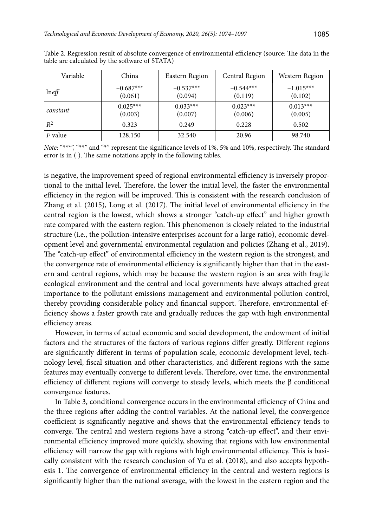| Variable       | China                  | Eastern Region         | Central Region         | Western Region         |
|----------------|------------------------|------------------------|------------------------|------------------------|
| $ln$ eff       | $-0.687***$<br>(0.061) | $-0.537***$<br>(0.094) | $-0.544***$<br>(0.119) | $-1.015***$<br>(0.102) |
| constant       | $0.025***$<br>(0.003)  | $0.033***$<br>(0.007)  | $0.023***$<br>(0.006)  | $0.013***$<br>(0.005)  |
| $R^2$          | 0.323                  | 0.249                  | 0.228                  | 0.502                  |
| <i>F</i> value | 128.150                | 32.540                 | 20.96                  | 98.740                 |

Table 2. Regression result of absolute convergence of environmental efficiency (source: The data in the table are calculated by the software of STATA)

*Note*: "\*\*\*", "\*\*" and "\*" represent the significance levels of 1%, 5% and 10%, respectively. The standard error is in ( ). The same notations apply in the following tables.

is negative, the improvement speed of regional environmental efficiency is inversely proportional to the initial level. Therefore, the lower the initial level, the faster the environmental efficiency in the region will be improved. This is consistent with the research conclusion of Zhang et al. (2015), Long et al. (2017). The initial level of environmental efficiency in the central region is the lowest, which shows a stronger "catch-up effect" and higher growth rate compared with the eastern region. This phenomenon is closely related to the industrial structure (i.e., the pollution-intensive enterprises account for a large ratio), economic development level and governmental environmental regulation and policies (Zhang et al., 2019). The "catch-up effect" of environmental efficiency in the western region is the strongest, and the convergence rate of environmental efficiency is significantly higher than that in the eastern and central regions, which may be because the western region is an area with fragile ecological environment and the central and local governments have always attached great importance to the pollutant emissions management and environmental pollution control, thereby providing considerable policy and financial support. Therefore, environmental efficiency shows a faster growth rate and gradually reduces the gap with high environmental efficiency areas.

However, in terms of actual economic and social development, the endowment of initial factors and the structures of the factors of various regions differ greatly. Different regions are significantly different in terms of population scale, economic development level, technology level, fiscal situation and other characteristics, and different regions with the same features may eventually converge to different levels. Therefore, over time, the environmental efficiency of different regions will converge to steady levels, which meets the β conditional convergence features.

In Table 3, conditional convergence occurs in the environmental efficiency of China and the three regions after adding the control variables. At the national level, the convergence coefficient is significantly negative and shows that the environmental efficiency tends to converge. The central and western regions have a strong "catch-up effect", and their environmental efficiency improved more quickly, showing that regions with low environmental efficiency will narrow the gap with regions with high environmental efficiency. This is basically consistent with the research conclusion of Yu et al. (2018), and also accepts hypothesis 1. The convergence of environmental efficiency in the central and western regions is significantly higher than the national average, with the lowest in the eastern region and the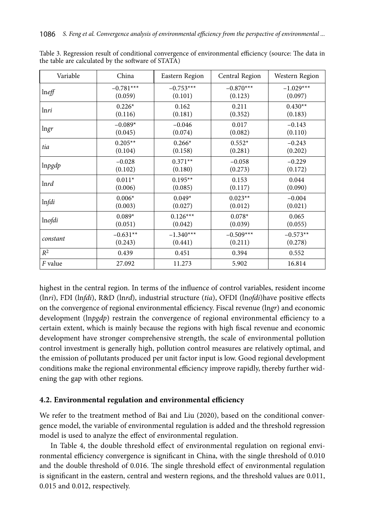| Variable        | China       | Eastern Region | Central Region | Western Region |
|-----------------|-------------|----------------|----------------|----------------|
| $ln \text{eff}$ | $-0.781***$ | $-0.753***$    | $-0.870***$    | $-1.029***$    |
|                 | (0.059)     | (0.101)        | (0.123)        | (0.097)        |
| lnri            | $0.226*$    | 0.162          | 0.211          | $0.430**$      |
|                 | (0.116)     | (0.181)        | (0.352)        | (0.183)        |
| $\ln gr$        | $-0.089*$   | $-0.046$       | 0.017          | $-0.143$       |
|                 | (0.045)     | (0.074)        | (0.082)        | (0.110)        |
| tia             | $0.205**$   | $0.266*$       | $0.552*$       | $-0.243$       |
|                 | (0.104)     | (0.158)        | (0.281)        | (0.202)        |
| lnpgdp          | $-0.028$    | $0.371**$      | $-0.058$       | $-0.229$       |
|                 | (0.102)     | (0.180)        | (0.273)        | (0.172)        |
| ln r d          | $0.011*$    | $0.195**$      | 0.153          | 0.044          |
|                 | (0.006)     | (0.085)        | (0.117)        | (0.090)        |
| <i>Infdi</i>    | $0.006*$    | $0.049*$       | $0.023**$      | $-0.004$       |
|                 | (0.003)     | (0.027)        | (0.012)        | (0.021)        |
| lnofdi          | $0.089*$    | $0.126***$     | $0.078*$       | 0.065          |
|                 | (0.051)     | (0.042)        | (0.039)        | (0.055)        |
| constant        | $-0.631**$  | $-1.340***$    | $-0.509***$    | $-0.573**$     |
|                 | (0.243)     | (0.441)        | (0.211)        | (0.278)        |
| $\mathbb{R}^2$  | 0.439       | 0.451          | 0.394          | 0.552          |
| F value         | 27.092      | 11.273         | 5.902          | 16.814         |

Table 3. Regression result of conditional convergence of environmental efficiency (source: The data in the table are calculated by the software of STATA)

highest in the central region. In terms of the influence of control variables, resident income (ln*ri*), FDI (ln*fdi*), R&D (ln*rd*), industrial structure (*tia*), OFDI (ln*ofdi*)have positive effects on the convergence of regional environmental efficiency. Fiscal revenue (ln*gr*) and economic development (ln*pgdp*) restrain the convergence of regional environmental efficiency to a certain extent, which is mainly because the regions with high fiscal revenue and economic development have stronger comprehensive strength, the scale of environmental pollution control investment is generally high, pollution control measures are relatively optimal, and the emission of pollutants produced per unit factor input is low. Good regional development conditions make the regional environmental efficiency improve rapidly, thereby further widening the gap with other regions.

#### **4.2. Environmental regulation and environmental efficiency**

We refer to the treatment method of Bai and Liu (2020), based on the conditional convergence model, the variable of environmental regulation is added and the threshold regression model is used to analyze the effect of environmental regulation.

In Table 4, the double threshold effect of environmental regulation on regional environmental efficiency convergence is significant in China, with the single threshold of 0.010 and the double threshold of 0.016. The single threshold effect of environmental regulation is significant in the eastern, central and western regions, and the threshold values are 0.011, 0.015 and 0.012, respectively.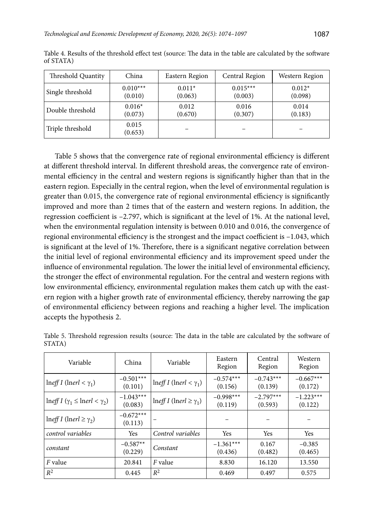| Threshold Quantity | China            | Eastern Region | Central Region | Western Region |
|--------------------|------------------|----------------|----------------|----------------|
| Single threshold   | $0.010***$       | $0.011*$       | $0.015***$     | $0.012*$       |
|                    | (0.010)          | (0.063)        | (0.003)        | (0.098)        |
| Double threshold   | $0.016*$         | 0.012          | 0.016          | 0.014          |
|                    | (0.073)          | (0.670)        | (0.307)        | (0.183)        |
| Triple threshold   | 0.015<br>(0.653) |                |                |                |

Table 4. Results of the threshold effect test (source: The data in the table are calculated by the software of STATA)

Table 5 shows that the convergence rate of regional environmental efficiency is different at different threshold interval. In different threshold areas, the convergence rate of environmental efficiency in the central and western regions is significantly higher than that in the eastern region. Especially in the central region, when the level of environmental regulation is greater than 0.015, the convergence rate of regional environmental efficiency is significantly improved and more than 2 times that of the eastern and western regions. In addition, the regression coefficient is –2.797, which is significant at the level of 1%. At the national level, when the environmental regulation intensity is between 0.010 and 0.016, the convergence of regional environmental efficiency is the strongest and the impact coefficient is –1.043, which is significant at the level of 1%. Therefore, there is a significant negative correlation between the initial level of regional environmental efficiency and its improvement speed under the influence of environmental regulation. The lower the initial level of environmental efficiency, the stronger the effect of environmental regulation. For the central and western regions with low environmental efficiency, environmental regulation makes them catch up with the eastern region with a higher growth rate of environmental efficiency, thereby narrowing the gap of environmental efficiency between regions and reaching a higher level. The implication accepts the hypothesis 2.

| Variable                                                       | China                  | Variable                                | Eastern<br>Region      | Central<br>Region      | Western<br>Region      |
|----------------------------------------------------------------|------------------------|-----------------------------------------|------------------------|------------------------|------------------------|
| $\ln \theta I$ (lnerl < $\gamma_1$ )                           | $-0.501***$<br>(0.101) | $\ln \theta I$ (lnerl < $\gamma_1$ )    | $-0.574***$<br>(0.156) | $-0.743***$<br>(0.139) | $-0.667***$<br>(0.172) |
| $\ln \left( \gamma_1 \leq \ln \left( \gamma_2 \right) \right)$ | $-1.043***$<br>(0.083) | $\ln \theta I$ (lnerl $\geq \gamma_1$ ) | $-0.998***$<br>(0.119) | $-2.797***$<br>(0.593) | $-1.223***$<br>(0.122) |
| $\ln \theta I$ (lnerl $\geq \gamma_2$ )                        | $-0.672***$<br>(0.113) |                                         |                        |                        |                        |
| control variables                                              | <b>Yes</b>             | Control variables                       | <b>Yes</b>             | Yes                    | Yes                    |
| constant                                                       | $-0.587**$<br>(0.229)  | Constant                                | $-1.361***$<br>(0.436) | 0.167<br>(0.482)       | $-0.385$<br>(0.465)    |
| F value                                                        | 20.841                 | <i>F</i> value                          | 8.830                  | 16.120                 | 13.550                 |
| $R^2$                                                          | 0.445                  | $R^2$                                   | 0.469                  | 0.497                  | 0.575                  |

Table 5. Threshold regression results (source: The data in the table are calculated by the software of STATA)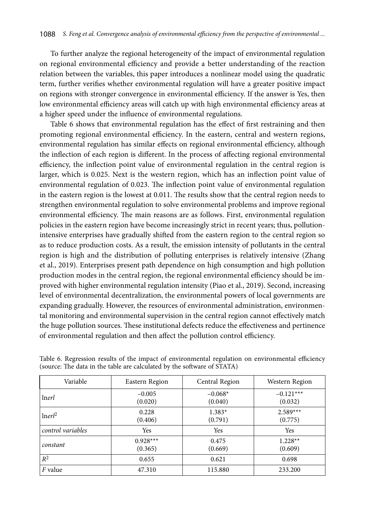To further analyze the regional heterogeneity of the impact of environmental regulation on regional environmental efficiency and provide a better understanding of the reaction relation between the variables, this paper introduces a nonlinear model using the quadratic term, further verifies whether environmental regulation will have a greater positive impact on regions with stronger convergence in environmental efficiency. If the answer is Yes, then low environmental efficiency areas will catch up with high environmental efficiency areas at a higher speed under the influence of environmental regulations.

Table 6 shows that environmental regulation has the effect of first restraining and then promoting regional environmental efficiency. In the eastern, central and western regions, environmental regulation has similar effects on regional environmental efficiency, although the inflection of each region is different. In the process of affecting regional environmental efficiency, the inflection point value of environmental regulation in the central region is larger, which is 0.025. Next is the western region, which has an inflection point value of environmental regulation of 0.023. The inflection point value of environmental regulation in the eastern region is the lowest at 0.011. The results show that the central region needs to strengthen environmental regulation to solve environmental problems and improve regional environmental efficiency. The main reasons are as follows. First, environmental regulation policies in the eastern region have become increasingly strict in recent years; thus, pollutionintensive enterprises have gradually shifted from the eastern region to the central region so as to reduce production costs. As a result, the emission intensity of pollutants in the central region is high and the distribution of polluting enterprises is relatively intensive (Zhang et al., 2019). Enterprises present path dependence on high consumption and high pollution production modes in the central region, the regional environmental efficiency should be improved with higher environmental regulation intensity (Piao et al., 2019). Second, increasing level of environmental decentralization, the environmental powers of local governments are expanding gradually. However, the resources of environmental administration, environmental monitoring and environmental supervision in the central region cannot effectively match the huge pollution sources. These institutional defects reduce the effectiveness and pertinence of environmental regulation and then affect the pollution control efficiency.

| Variable           | Eastern Region        | Central Region       | Western Region         |
|--------------------|-----------------------|----------------------|------------------------|
| <i>lnerl</i>       | $-0.005$<br>(0.020)   | $-0.068*$<br>(0.040) | $-0.121***$<br>(0.032) |
| Inerl <sup>2</sup> | 0.228<br>(0.406)      | $1.383*$<br>(0.791)  | $2.589***$<br>(0.775)  |
| control variables  | Yes                   | Yes                  | Yes                    |
| constant           | $0.928***$<br>(0.365) | 0.475<br>(0.669)     | $1.228**$<br>(0.609)   |
| $R^2$              | 0.655                 | 0.621                | 0.698                  |
| F value            | 47.310                | 115.880              | 233.200                |

Table 6. Regression results of the impact of environmental regulation on environmental efficiency (source: The data in the table are calculated by the software of STATA)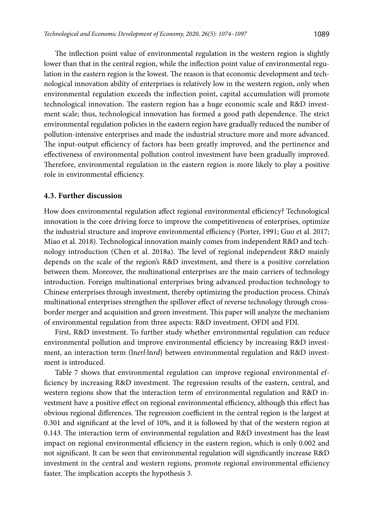The inflection point value of environmental regulation in the western region is slightly lower than that in the central region, while the inflection point value of environmental regulation in the eastern region is the lowest. The reason is that economic development and technological innovation ability of enterprises is relatively low in the western region, only when environmental regulation exceeds the inflection point, capital accumulation will promote technological innovation. The eastern region has a huge economic scale and R&D investment scale; thus, technological innovation has formed a good path dependence. The strict environmental regulation policies in the eastern region have gradually reduced the number of pollution-intensive enterprises and made the industrial structure more and more advanced. The input-output efficiency of factors has been greatly improved, and the pertinence and effectiveness of environmental pollution control investment have been gradually improved. Therefore, environmental regulation in the eastern region is more likely to play a positive role in environmental efficiency.

#### **4.3. Further discussion**

How does environmental regulation affect regional environmental efficiency? Technological innovation is the core driving force to improve the competitiveness of enterprises, optimize the industrial structure and improve environmental efficiency (Porter, 1991; Guo et al. 2017; Miao et al. 2018). Technological innovation mainly comes from independent R&D and technology introduction (Chen et al. 2018a). The level of regional independent R&D mainly depends on the scale of the region's R&D investment, and there is a positive correlation between them. Moreover, the multinational enterprises are the main carriers of technology introduction. Foreign multinational enterprises bring advanced production technology to Chinese enterprises through investment, thereby optimizing the production process. China's multinational enterprises strengthen the spillover effect of reverse technology through crossborder merger and acquisition and green investment. This paper will analyze the mechanism of environmental regulation from three aspects: R&D investment, OFDI and FDI.

First, R&D investment. To further study whether environmental regulation can reduce environmental pollution and improve environmental efficiency by increasing R&D investment, an interaction term (ln*erl*⋅ln*rd*) between environmental regulation and R&D investment is introduced.

Table 7 shows that environmental regulation can improve regional environmental efficiency by increasing R&D investment. The regression results of the eastern, central, and western regions show that the interaction term of environmental regulation and R&D investment have a positive effect on regional environmental efficiency, although this effect has obvious regional differences. The regression coefficient in the central region is the largest at 0.301 and significant at the level of 10%, and it is followed by that of the western region at 0.143. The interaction term of environmental regulation and R&D investment has the least impact on regional environmental efficiency in the eastern region, which is only 0.002 and not significant. It can be seen that environmental regulation will significantly increase R&D investment in the central and western regions, promote regional environmental efficiency faster. The implication accepts the hypothesis 3.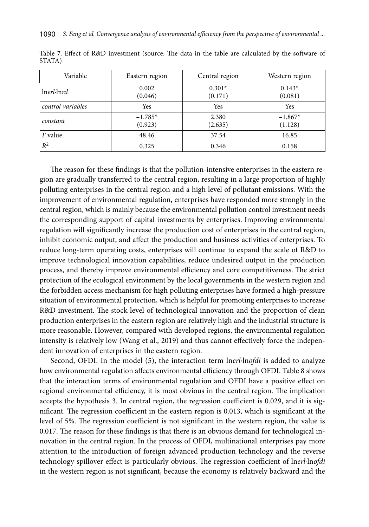| Variable          | Eastern region       | Central region      | Western region       |
|-------------------|----------------------|---------------------|----------------------|
| lnerl·lnrd        | 0.002<br>(0.046)     | $0.301*$<br>(0.171) | $0.143*$<br>(0.081)  |
| control variables | Yes                  | Yes                 | Yes                  |
| constant          | $-1.785*$<br>(0.923) | 2.380<br>(2.635)    | $-1.867*$<br>(1.128) |
| <i>F</i> value    | 48.46                | 37.54               | 16.85                |
| $R^2$             | 0.325                | 0.346               | 0.158                |

Table 7. Effect of R&D investment (source: The data in the table are calculated by the software of STATA)

The reason for these findings is that the pollution-intensive enterprises in the eastern region are gradually transferred to the central region, resulting in a large proportion of highly polluting enterprises in the central region and a high level of pollutant emissions. With the improvement of environmental regulation, enterprises have responded more strongly in the central region, which is mainly because the environmental pollution control investment needs the corresponding support of capital investments by enterprises. Improving environmental regulation will significantly increase the production cost of enterprises in the central region, inhibit economic output, and affect the production and business activities of enterprises. To reduce long-term operating costs, enterprises will continue to expand the scale of R&D to improve technological innovation capabilities, reduce undesired output in the production process, and thereby improve environmental efficiency and core competitiveness. The strict protection of the ecological environment by the local governments in the western region and the forbidden access mechanism for high polluting enterprises have formed a high-pressure situation of environmental protection, which is helpful for promoting enterprises to increase R&D investment. The stock level of technological innovation and the proportion of clean production enterprises in the eastern region are relatively high and the industrial structure is more reasonable. However, compared with developed regions, the environmental regulation intensity is relatively low (Wang et al., 2019) and thus cannot effectively force the independent innovation of enterprises in the eastern region.

Second, OFDI. In the model (5), the interaction term ln*erl*⋅ln*ofdi* is added to analyze how environmental regulation affects environmental efficiency through OFDI. Table 8 shows that the interaction terms of environmental regulation and OFDI have a positive effect on regional environmental efficiency, it is most obvious in the central region. The implication accepts the hypothesis 3. In central region, the regression coefficient is 0.029, and it is significant. The regression coefficient in the eastern region is 0.013, which is significant at the level of 5%. The regression coefficient is not significant in the western region, the value is 0.017. The reason for these findings is that there is an obvious demand for technological innovation in the central region. In the process of OFDI, multinational enterprises pay more attention to the introduction of foreign advanced production technology and the reverse technology spillover effect is particularly obvious. The regression coefficient of ln*erl*⋅ln*ofdi* in the western region is not significant, because the economy is relatively backward and the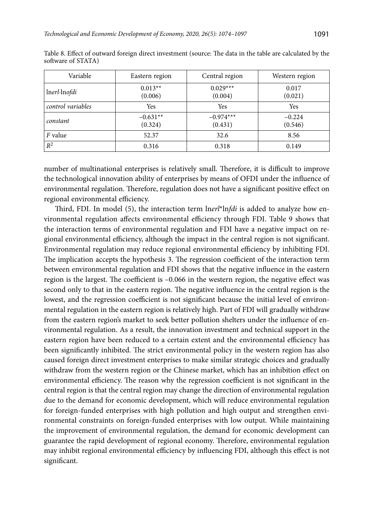| Variable          | Eastern region        | Central region         | Western region      |
|-------------------|-----------------------|------------------------|---------------------|
| lnerl·lnofdi      | $0.013**$<br>(0.006)  | $0.029***$<br>(0.004)  | 0.017<br>(0.021)    |
| control variables | Yes                   | Yes                    | Yes                 |
| constant          | $-0.631**$<br>(0.324) | $-0.974***$<br>(0.431) | $-0.224$<br>(0.546) |
| <i>F</i> value    | 52.37                 | 32.6                   | 8.56                |
| $R^2$             | 0.316                 | 0.318                  | 0.149               |

Table 8. Effect of outward foreign direct investment (source: The data in the table are calculated by the software of STATA)

number of multinational enterprises is relatively small. Therefore, it is difficult to improve the technological innovation ability of enterprises by means of OFDI under the influence of environmental regulation. Therefore, regulation does not have a significant positive effect on regional environmental efficiency.

Third, FDI. In model (5), the interaction term ln*erl*\*ln*fdi* is added to analyze how environmental regulation affects environmental efficiency through FDI. Table 9 shows that the interaction terms of environmental regulation and FDI have a negative impact on regional environmental efficiency, although the impact in the central region is not significant. Environmental regulation may reduce regional environmental efficiency by inhibiting FDI. The implication accepts the hypothesis 3. The regression coefficient of the interaction term between environmental regulation and FDI shows that the negative influence in the eastern region is the largest. The coefficient is –0.066 in the western region, the negative effect was second only to that in the eastern region. The negative influence in the central region is the lowest, and the regression coefficient is not significant because the initial level of environmental regulation in the eastern region is relatively high. Part of FDI will gradually withdraw from the eastern region's market to seek better pollution shelters under the influence of environmental regulation. As a result, the innovation investment and technical support in the eastern region have been reduced to a certain extent and the environmental efficiency has been significantly inhibited. The strict environmental policy in the western region has also caused foreign direct investment enterprises to make similar strategic choices and gradually withdraw from the western region or the Chinese market, which has an inhibition effect on environmental efficiency. The reason why the regression coefficient is not significant in the central region is that the central region may change the direction of environmental regulation due to the demand for economic development, which will reduce environmental regulation for foreign-funded enterprises with high pollution and high output and strengthen environmental constraints on foreign-funded enterprises with low output. While maintaining the improvement of environmental regulation, the demand for economic development can guarantee the rapid development of regional economy. Therefore, environmental regulation may inhibit regional environmental efficiency by influencing FDI, although this effect is not significant.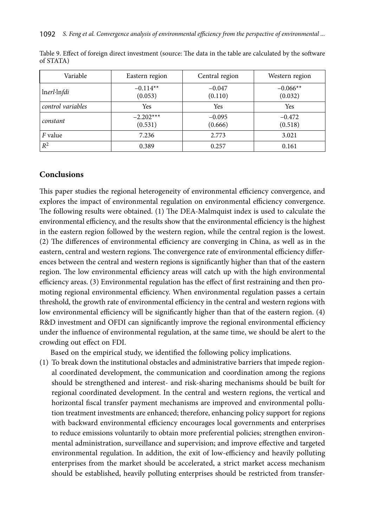| Variable          | Eastern region         | Central region      | Western region        |
|-------------------|------------------------|---------------------|-----------------------|
| lnerl·lnfdi       | $-0.114**$<br>(0.053)  | $-0.047$<br>(0.110) | $-0.066**$<br>(0.032) |
| control variables | Yes                    | Yes                 | Yes                   |
| constant          | $-2.202***$<br>(0.531) | $-0.095$<br>(0.666) | $-0.472$<br>(0.518)   |
| <i>F</i> value    | 7.236                  | 2.773               | 3.021                 |
| $R^2$             | 0.389                  | 0.257               | 0.161                 |

Table 9. Effect of foreign direct investment (source: The data in the table are calculated by the software of STATA)

### **Conclusions**

This paper studies the regional heterogeneity of environmental efficiency convergence, and explores the impact of environmental regulation on environmental efficiency convergence. The following results were obtained. (1) The DEA-Malmquist index is used to calculate the environmental efficiency, and the results show that the environmental efficiency is the highest in the eastern region followed by the western region, while the central region is the lowest. (2) The differences of environmental efficiency are converging in China, as well as in the eastern, central and western regions. The convergence rate of environmental efficiency differences between the central and western regions is significantly higher than that of the eastern region. The low environmental efficiency areas will catch up with the high environmental efficiency areas. (3) Environmental regulation has the effect of first restraining and then promoting regional environmental efficiency. When environmental regulation passes a certain threshold, the growth rate of environmental efficiency in the central and western regions with low environmental efficiency will be significantly higher than that of the eastern region. (4) R&D investment and OFDI can significantly improve the regional environmental efficiency under the influence of environmental regulation, at the same time, we should be alert to the crowding out effect on FDI.

Based on the empirical study, we identified the following policy implications.

(1) To break down the institutional obstacles and administrative barriers that impede regional coordinated development, the communication and coordination among the regions should be strengthened and interest- and risk-sharing mechanisms should be built for regional coordinated development. In the central and western regions, the vertical and horizontal fiscal transfer payment mechanisms are improved and environmental pollution treatment investments are enhanced; therefore, enhancing policy support for regions with backward environmental efficiency encourages local governments and enterprises to reduce emissions voluntarily to obtain more preferential policies; strengthen environmental administration, surveillance and supervision; and improve effective and targeted environmental regulation. In addition, the exit of low-efficiency and heavily polluting enterprises from the market should be accelerated, a strict market access mechanism should be established, heavily polluting enterprises should be restricted from transfer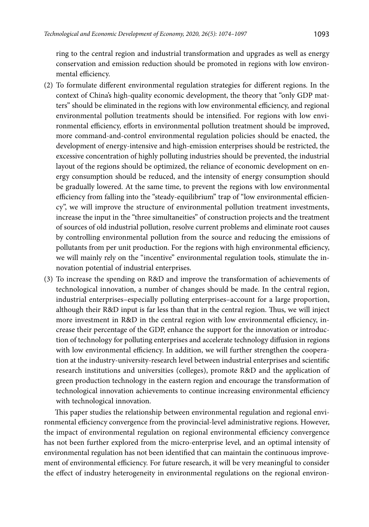ring to the central region and industrial transformation and upgrades as well as energy conservation and emission reduction should be promoted in regions with low environmental efficiency.

- (2) To formulate different environmental regulation strategies for different regions. In the context of China's high-quality economic development, the theory that "only GDP matters" should be eliminated in the regions with low environmental efficiency, and regional environmental pollution treatments should be intensified. For regions with low environmental efficiency, efforts in environmental pollution treatment should be improved, more command-and-control environmental regulation policies should be enacted, the development of energy-intensive and high-emission enterprises should be restricted, the excessive concentration of highly polluting industries should be prevented, the industrial layout of the regions should be optimized, the reliance of economic development on energy consumption should be reduced, and the intensity of energy consumption should be gradually lowered. At the same time, to prevent the regions with low environmental efficiency from falling into the "steady-equilibrium" trap of "low environmental efficiency", we will improve the structure of environmental pollution treatment investments, increase the input in the "three simultaneities" of construction projects and the treatment of sources of old industrial pollution, resolve current problems and eliminate root causes by controlling environmental pollution from the source and reducing the emissions of pollutants from per unit production. For the regions with high environmental efficiency, we will mainly rely on the "incentive" environmental regulation tools, stimulate the innovation potential of industrial enterprises.
- (3) To increase the spending on R&D and improve the transformation of achievements of technological innovation, a number of changes should be made. In the central region, industrial enterprises–especially polluting enterprises–account for a large proportion, although their R&D input is far less than that in the central region. Thus, we will inject more investment in R&D in the central region with low environmental efficiency, increase their percentage of the GDP, enhance the support for the innovation or introduction of technology for polluting enterprises and accelerate technology diffusion in regions with low environmental efficiency. In addition, we will further strengthen the cooperation at the industry-university-research level between industrial enterprises and scientific research institutions and universities (colleges), promote R&D and the application of green production technology in the eastern region and encourage the transformation of technological innovation achievements to continue increasing environmental efficiency with technological innovation.

This paper studies the relationship between environmental regulation and regional environmental efficiency convergence from the provincial-level administrative regions. However, the impact of environmental regulation on regional environmental efficiency convergence has not been further explored from the micro-enterprise level, and an optimal intensity of environmental regulation has not been identified that can maintain the continuous improvement of environmental efficiency. For future research, it will be very meaningful to consider the effect of industry heterogeneity in environmental regulations on the regional environ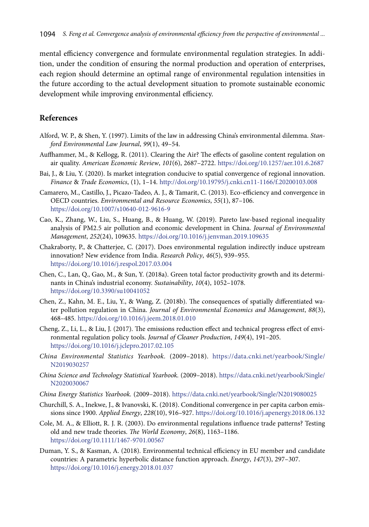mental efficiency convergence and formulate environmental regulation strategies. In addition, under the condition of ensuring the normal production and operation of enterprises, each region should determine an optimal range of environmental regulation intensities in the future according to the actual development situation to promote sustainable economic development while improving environmental efficiency.

#### **References**

- Alford, W. P., & Shen, Y. (1997). Limits of the law in addressing China's environmental dilemma. *Stanford Environmental Law Journal*, *99*(1), 49–54.
- Auffhammer, M., & Kellogg, R. (2011). Clearing the Air? The effects of gasoline content regulation on air quality. *American Economic Review*, *101*(6), 2687–2722. <https://doi.org/10.1257/aer.101.6.2687>
- Bai, J., & Liu, Y. (2020). Is market integration conducive to spatial convergence of regional innovation. *Finance* & *Trade Economics*, (1), 1–14. <http://doi.org/10.19795/j.cnki.cn11-1166/f.20200103.008>
- Camarero, M., Castillo, J., Picazo-Tadeo, A. J., & Tamarit, C. (2013). Eco-efficiency and convergence in OECD countries. *Environmental and Resource Economics*, *55*(1), 87–106. <https://doi.org/10.1007/s10640-012-9616-9>
- Cao, K., Zhang, W., Liu, S., Huang, B., & Huang, W. (2019). Pareto law-based regional inequality analysis of PM2.5 air pollution and economic development in China. *Journal of Environmental Management*, *252*(24), 109635. <https://doi.org/10.1016/j.jenvman.2019.109635>
- Chakraborty, P., & Chatterjee, C. (2017). Does environmental regulation indirectly induce upstream innovation? New evidence from India. *Research Policy*, *46*(5), 939–955. <https://doi.org/10.1016/j.respol.2017.03.004>
- Chen, C., Lan, Q., Gao, M., & Sun, Y. (2018a). Green total factor productivity growth and its determinants in China's industrial economy. *Sustainability*, *10*(4), 1052–1078. <https://doi.org/10.3390/su10041052>
- Chen, Z., Kahn, M. E., Liu, Y., & Wang, Z. (2018b). The consequences of spatially differentiated water pollution regulation in China. *Journal of Environmental Economics and Management*, *88*(3), 468–485. <https://doi.org/10.1016/j.jeem.2018.01.010>
- Cheng, Z., Li, L., & Liu, J. (2017). The emissions reduction effect and technical progress effect of environmental regulation policy tools. *Journal of Cleaner Production*, *149*(4), 191–205. <https://doi.org/10.1016/j.jclepro.2017.02.105>
- *China Environmental Statistics Yearbook.* (2009–2018). [https://data.cnki.net/yearbook/Single/](https://data.cnki.net/yearbook/Single/N2019030257) [N2019030257](https://data.cnki.net/yearbook/Single/N2019030257)
- *China Science and Technology Statistical Yearbook.* (2009–2018). [https://data.cnki.net/yearbook/Single/](https://data.cnki.net/yearbook/Single/N2020030067) [N2020030067](https://data.cnki.net/yearbook/Single/N2020030067)
- *China Energy Statistics Yearbook.* (2009–2018). <https://data.cnki.net/yearbook/Single/N2019080025>
- Churchill, S. A., Inekwe, J., & Ivanovski, K. (2018). Conditional convergence in per capita carbon emissions since 1900. *Applied Energy*, *228*(10), 916–927.<https://doi.org/10.1016/j.apenergy.2018.06.132>
- Cole, M. A., & Elliott, R. J. R. (2003). Do environmental regulations influence trade patterns? Testing old and new trade theories. *The World Economy*, *26*(8), 1163–1186. <https://doi.org/10.1111/1467-9701.00567>
- Duman, Y. S., & Kasman, A. (2018). Environmental technical efficiency in EU member and candidate countries: A parametric hyperbolic distance function approach. *Energy*, *147*(3), 297–307. <https://doi.org/10.1016/j.energy.2018.01.037>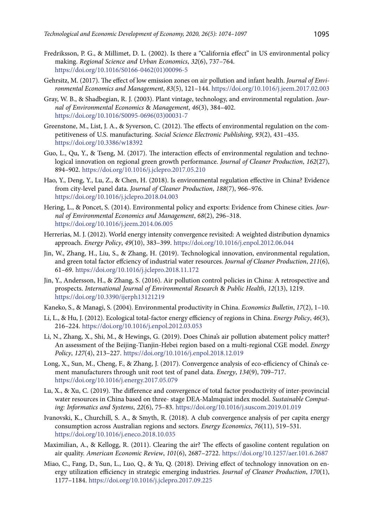- Fredriksson, P. G., & Millimet, D. L. (2002). Is there a "California effect" in US environmental policy making. *Regional Science and Urban Economics*, *32*(6), 737–764. [https://doi.org/10.1016/S0166-0462\(01\)00096-5](https://doi.org/10.1016/S0166-0462(01)00096-5)
- Gehrsitz, M. (2017). The effect of low emission zones on air pollution and infant health. *Journal of Environmental Economics and Management*, *83*(5), 121–144. <https://doi.org/10.1016/j.jeem.2017.02.003>
- Gray, W. B., & Shadbegian, R. J. (2003). Plant vintage, technology, and environmental regulation. *Journal of Environmental Economics* & *Management*, *46*(3), 384–402. [https://doi.org/10.1016/S0095-0696\(03\)00031-7](https://doi.org/10.1016/S0095-0696(03)00031-7)
- Greenstone, M., List, J. A., & Syverson, C. (2012). The effects of environmental regulation on the competitiveness of U.S. manufacturing. *Social Science Electronic Publishing*, *93*(2), 431–435. <https://doi.org/10.3386/w18392>
- Guo, L., Qu, Y., & Tseng, M. (2017). The interaction effects of environmental regulation and technological innovation on regional green growth performance. *Journal of Cleaner Production*, *162*(27), 894–902. <https://doi.org/10.1016/j.jclepro.2017.05.210>
- Hao, Y., Deng, Y., Lu, Z., & Chen, H. (2018). Is environmental regulation effective in China? Evidence from city-level panel data. *Journal of Cleaner Production*, *188*(7), 966–976. <https://doi.org/10.1016/j.jclepro.2018.04.003>
- Hering, L., & Poncet, S. (2014). Environmental policy and exports: Evidence from Chinese cities. *Journal of Environmental Economics and Management*, *68*(2), 296–318. <https://doi.org/10.1016/j.jeem.2014.06.005>
- Herrerias, M. J. (2012). World energy intensity convergence revisited: A weighted distribution dynamics approach. *Energy Policy*, *49*(10), 383–399. <https://doi.org/10.1016/j.enpol.2012.06.044>
- Jin, W., Zhang, H., Liu, S., & Zhang, H. (2019). Technological innovation, environmental regulation, and green total factor effciency of industrial water resources. *Journal of Cleaner Production*, *211*(6), 61–69. <https://doi.org/10.1016/j.jclepro.2018.11.172>
- Jin, Y., Andersson, H., & Zhang, S. (2016). Air pollution control policies in China: A retrospective and prospects. *International Journal of Environmental Research* & *Public Health*, *12*(13), 1219. <https://doi.org/10.3390/ijerph13121219>
- Kaneko, S., & Managi, S. (2004). Environmental productivity in China. *Economics Bulletin*, *17*(2), 1–10.
- Li, L., & Hu, J. (2012). Ecological total-factor energy efficiency of regions in China. *Energy Policy*, *46*(3), 216–224. <https://doi.org/10.1016/j.enpol.2012.03.053>
- Li, N., Zhang, X., Shi, M., & Hewings, G. (2019). Does China's air pollution abatement policy matter? An assessment of the Beijing-Tianjin-Hebei region based on a multi-regional CGE model. *Energy Policy*, *127*(4), 213–227. <https://doi.org/10.1016/j.enpol.2018.12.019>
- Long, X., Sun, M., Cheng, F., & Zhang, J. (2017). Convergence analysis of eco-efficiency of China's cement manufacturers through unit root test of panel data. *Energy*, *134*(9), 709–717. <https://doi.org/10.1016/j.energy.2017.05.079>
- Lu, X., & Xu, C. (2019). The difference and convergence of total factor productivity of inter-provincial water resources in China based on three- stage DEA-Malmquist index model. *Sustainable Computing: Informatics and Systems*, *22*(6), 75–83. <https://doi.org/10.1016/j.suscom.2019.01.019>
- Ivanovski, K., Churchill, S. A., & Smyth, R. (2018). A club convergence analysis of per capita energy consumption across Australian regions and sectors. *Energy Economics*, *76*(11), 519–531. <https://doi.org/10.1016/j.eneco.2018.10.035>
- Maximilian, A., & Kellogg, R. (2011). Clearing the air? The effects of gasoline content regulation on air quality. *American Economic Review*, *101*(6), 2687–2722. <https://doi.org/10.1257/aer.101.6.2687>
- Miao, C., Fang, D., Sun, L., Luo, Q., & Yu, Q. (2018). Driving effect of technology innovation on energy utilization efficiency in strategic emerging industries. *Journal of Cleaner Production*, *170*(1), 1177–1184. <https://doi.org/10.1016/j.jclepro.2017.09.225>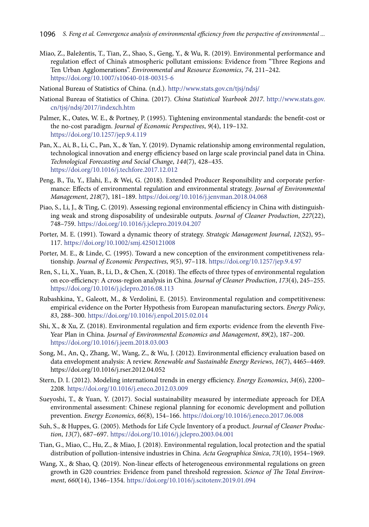- Miao, Z., Baležentis, T., Tian, Z., Shao, S., Geng, Y., & Wu, R. (2019). Environmental performance and regulation effect of China's atmospheric pollutant emissions: Evidence from "Three Regions and Ten Urban Agglomerations". *Environmental and Resource Economics*, *74*, 211–242. <https://doi.org/10.1007/s10640-018-00315-6>
- National Bureau of Statistics of China. (n.d.). <http://www.stats.gov.cn/tjsj/ndsj/>
- National Bureau of Statistics of China. (2017). *China Statistical Yearbook 2017*. [http://www.stats.gov.](http://www.stats.gov.cn/tjsj/ndsj/2017/indexch.htm) [cn/tjsj/ndsj/2017/indexch.htm](http://www.stats.gov.cn/tjsj/ndsj/2017/indexch.htm)
- Palmer, K., Oates, W. E., & Portney, P. (1995). Tightening environmental standards: the benefit-cost or the no-cost paradigm. *Journal of Economic Perspectives*, *9*(4), 119–132. <https://doi.org/10.1257/jep.9.4.119>
- Pan, X., Ai, B., Li, C., Pan, X., & Yan, Y. (2019). Dynamic relationship among environmental regulation, technological innovation and energy efficiency based on large scale provincial panel data in China. *Technological Forecasting and Social Change*, *144*(7), 428–435. <https://doi.org/10.1016/j.techfore.2017.12.012>
- Peng, B., Tu, Y., Elahi, E., & Wei, G. (2018). Extended Producer Responsibility and corporate performance: Effects of environmental regulation and environmental strategy. *Journal of Environmental Management*, *218*(7), 181–189. <https://doi.org/10.1016/j.jenvman.2018.04.068>
- Piao, S., Li, J., & Ting, C. (2019). Assessing regional environmental efficiency in China with distinguishing weak and strong disposability of undesirable outputs. *Journal of Cleaner Production*, *227*(22), 748–759. <https://doi.org/10.1016/j.jclepro.2019.04.207>
- Porter, M. E. (1991). Toward a dynamic theory of strategy. *Strategic Management Journal*, *12*(S2), 95– 117. <https://doi.org/10.1002/smj.4250121008>
- Porter, M. E., & Linde, C. (1995). Toward a new conception of the environment competitiveness relationship. *Journal of Economic Perspectives*, *9*(5), 97–118.<https://doi.org/10.1257/jep.9.4.97>
- Ren, S., Li, X., Yuan, B., Li, D., & Chen, X. (2018). The effects of three types of environmental regulation on eco-efficiency: A cross-region analysis in China. *Journal of Cleaner Production*, *173*(4), 245–255. <https://doi.org/10.1016/j.jclepro.2016.08.113>
- Rubashkina, Y., Galeott, M., & Verdolini, E. (2015). Environmental regulation and competitiveness: empirical evidence on the Porter Hypothesis from European manufacturing sectors. *Energy Policy*, *83*, 288–300. <https://doi.org/10.1016/j.enpol.2015.02.014>
- Shi, X., & Xu, Z. (2018). Environmental regulation and firm exports: evidence from the eleventh Five-Year Plan in China. *Journal of Environmental Economics and Management*, *89*(2), 187–200. <https://doi.org/10.1016/j.jeem.2018.03.003>
- Song, M., An, Q., Zhang, W., Wang, Z., & Wu, J. (2012). Environmental efficiency evaluation based on data envelopment analysis: A review. *Renewable and Sustainable Energy Reviews*, *16*(7), 4465–4469. https://doi.org/10.1016/j.rser.2012.04.052
- Stern, D. I. (2012). Modeling international trends in energy efficiency. *Energy Economics*, *34*(6), 2200– 2208. <https://doi.org/10.1016/j.eneco.2012.03.009>
- Sueyoshi, T., & Yuan, Y. (2017). Social sustainability measured by intermediate approach for DEA environmental assessment: Chinese regional planning for economic development and pollution prevention. *Energy Economics*, *66*(8), 154–166. <https://doi.org/10.1016/j.eneco.2017.06.008>
- Suh, S., & Huppes, G. (2005). Methods for Life Cycle Inventory of a product. *Journal of Cleaner Production*, *13*(7), 687–697.<https://doi.org/10.1016/j.jclepro.2003.04.001>
- Tian, G., Miao, C., Hu, Z., & Miao, J. (2018). Environmental regulation, local protection and the spatial distribution of pollution-intensive industries in China. *Acta Geographica Sinica*, *73*(10), 1954–1969.
- Wang, X., & Shao, Q. (2019). Non-linear effects of heterogeneous environmental regulations on green growth in G20 countries: Evidence from panel threshold regression. *Science of The Total Environment*, *660*(14), 1346–1354. <https://doi.org/10.1016/j.scitotenv.2019.01.094>